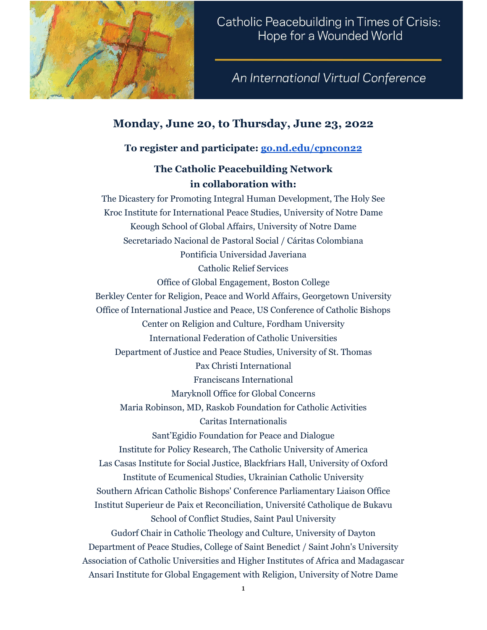

An International Virtual Conference

# **Monday, June 20, to Thursday, June 23, 2022**

## **To register and participate: [go.nd.edu/cpncon22](http://go.nd.edu/cpncon22)**

## **The Catholic Peacebuilding Network in collaboration with:**

The Dicastery for Promoting Integral Human Development, The Holy See Kroc Institute for International Peace Studies, University of Notre Dame Keough School of Global Affairs, University of Notre Dame Secretariado Nacional de Pastoral Social / Cáritas Colombiana Pontificia Universidad Javeriana Catholic Relief Services Office of Global Engagement, Boston College Berkley Center for Religion, Peace and World Affairs, Georgetown University Office of International Justice and Peace, US Conference of Catholic Bishops Center on Religion and Culture, Fordham University International Federation of Catholic Universities Department of Justice and Peace Studies, University of St. Thomas Pax Christi International Franciscans International Maryknoll Office for Global Concerns Maria Robinson, MD, Raskob Foundation for Catholic Activities Caritas Internationalis Sant'Egidio Foundation for Peace and Dialogue Institute for Policy Research, The Catholic University of America Las Casas Institute for Social Justice, Blackfriars Hall, University of Oxford Institute of Ecumenical Studies, Ukrainian Catholic University Southern African Catholic Bishops' Conference Parliamentary Liaison Office Institut Superieur de Paix et Reconciliation, Université Catholique de Bukavu School of Conflict Studies, Saint Paul University Gudorf Chair in Catholic Theology and Culture, University of Dayton Department of Peace Studies, College of Saint Benedict / Saint John's University Association of Catholic Universities and Higher Institutes of Africa and Madagascar Ansari Institute for Global Engagement with Religion, University of Notre Dame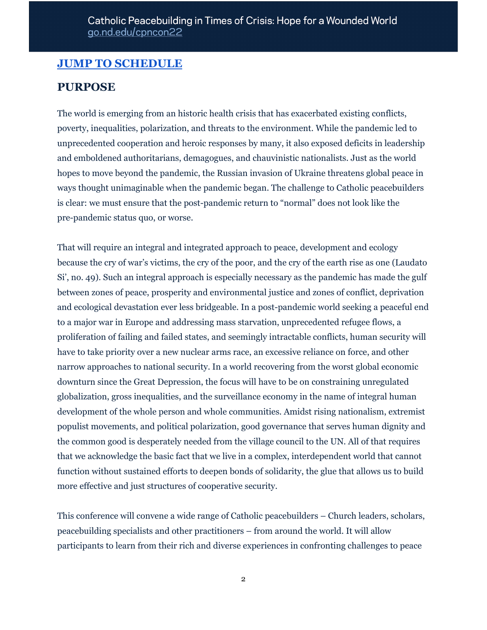# **JUMP TO [SCHEDULE](#page-3-0)**

## **PURPOSE**

The world is emerging from an historic health crisis that has exacerbated existing conflicts, poverty, inequalities, polarization, and threats to the environment. While the pandemic led to unprecedented cooperation and heroic responses by many, it also exposed deficits in leadership and emboldened authoritarians, demagogues, and chauvinistic nationalists. Just as the world hopes to move beyond the pandemic, the Russian invasion of Ukraine threatens global peace in ways thought unimaginable when the pandemic began. The challenge to Catholic peacebuilders is clear: we must ensure that the post-pandemic return to "normal" does not look like the pre-pandemic status quo, or worse.

That will require an integral and integrated approach to peace, development and ecology because the cry of war's victims, the cry of the poor, and the cry of the earth rise as one (Laudato Si', no. 49). Such an integral approach is especially necessary as the pandemic has made the gulf between zones of peace, prosperity and environmental justice and zones of conflict, deprivation and ecological devastation ever less bridgeable. In a post-pandemic world seeking a peaceful end to a major war in Europe and addressing mass starvation, unprecedented refugee flows, a proliferation of failing and failed states, and seemingly intractable conflicts, human security will have to take priority over a new nuclear arms race, an excessive reliance on force, and other narrow approaches to national security. In a world recovering from the worst global economic downturn since the Great Depression, the focus will have to be on constraining unregulated globalization, gross inequalities, and the surveillance economy in the name of integral human development of the whole person and whole communities. Amidst rising nationalism, extremist populist movements, and political polarization, good governance that serves human dignity and the common good is desperately needed from the village council to the UN. All of that requires that we acknowledge the basic fact that we live in a complex, interdependent world that cannot function without sustained efforts to deepen bonds of solidarity, the glue that allows us to build more effective and just structures of cooperative security.

This conference will convene a wide range of Catholic peacebuilders – Church leaders, scholars, peacebuilding specialists and other practitioners – from around the world. It will allow participants to learn from their rich and diverse experiences in confronting challenges to peace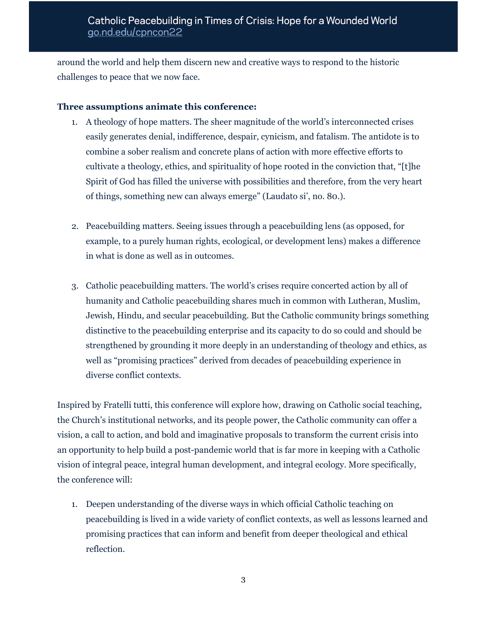around the world and help them discern new and creative ways to respond to the historic challenges to peace that we now face.

#### **Three assumptions animate this conference:**

- 1. A theology of hope matters. The sheer magnitude of the world's interconnected crises easily generates denial, indifference, despair, cynicism, and fatalism. The antidote is to combine a sober realism and concrete plans of action with more effective efforts to cultivate a theology, ethics, and spirituality of hope rooted in the conviction that, "[t]he Spirit of God has filled the universe with possibilities and therefore, from the very heart of things, something new can always emerge" (Laudato si', no. 80.).
- 2. Peacebuilding matters. Seeing issues through a peacebuilding lens (as opposed, for example, to a purely human rights, ecological, or development lens) makes a difference in what is done as well as in outcomes.
- 3. Catholic peacebuilding matters. The world's crises require concerted action by all of humanity and Catholic peacebuilding shares much in common with Lutheran, Muslim, Jewish, Hindu, and secular peacebuilding. But the Catholic community brings something distinctive to the peacebuilding enterprise and its capacity to do so could and should be strengthened by grounding it more deeply in an understanding of theology and ethics, as well as "promising practices" derived from decades of peacebuilding experience in diverse conflict contexts.

Inspired by Fratelli tutti, this conference will explore how, drawing on Catholic social teaching, the Church's institutional networks, and its people power, the Catholic community can offer a vision, a call to action, and bold and imaginative proposals to transform the current crisis into an opportunity to help build a post-pandemic world that is far more in keeping with a Catholic vision of integral peace, integral human development, and integral ecology. More specifically, the conference will:

1. Deepen understanding of the diverse ways in which official Catholic teaching on peacebuilding is lived in a wide variety of conflict contexts, as well as lessons learned and promising practices that can inform and benefit from deeper theological and ethical reflection.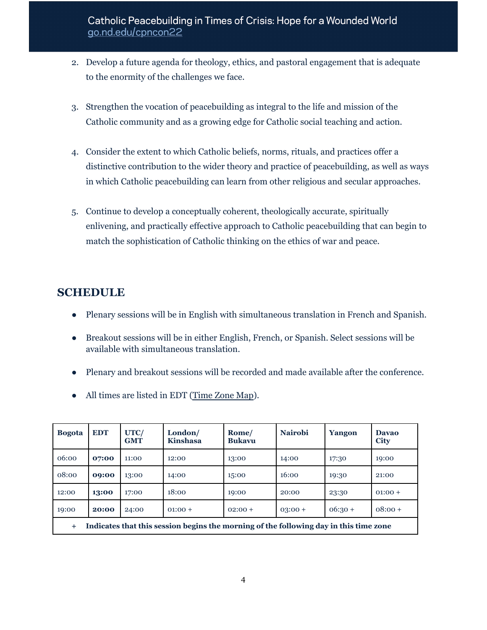- 2. Develop a future agenda for theology, ethics, and pastoral engagement that is adequate to the enormity of the challenges we face.
- 3. Strengthen the vocation of peacebuilding as integral to the life and mission of the Catholic community and as a growing edge for Catholic social teaching and action.
- 4. Consider the extent to which Catholic beliefs, norms, rituals, and practices offer a distinctive contribution to the wider theory and practice of peacebuilding, as well as ways in which Catholic peacebuilding can learn from other religious and secular approaches.
- 5. Continue to develop a conceptually coherent, theologically accurate, spiritually enlivening, and practically effective approach to Catholic peacebuilding that can begin to match the sophistication of Catholic thinking on the ethics of war and peace.

# <span id="page-3-0"></span>**SCHEDULE**

- Plenary sessions will be in English with simultaneous translation in French and Spanish.
- Breakout sessions will be in either English, French, or Spanish. Select sessions will be available with simultaneous translation.
- Plenary and breakout sessions will be recorded and made available after the conference.
- All times are listed in EDT [\(Time](https://www.timeanddate.com/time/map/) Zone Map).

| <b>Bogota</b>                                                                                  | <b>EDT</b> | UTC/<br><b>GMT</b> | London/<br><b>Kinshasa</b> | Rome/<br><b>Bukavu</b> | <b>Nairobi</b> | Yangon    | <b>Davao</b><br><b>City</b> |
|------------------------------------------------------------------------------------------------|------------|--------------------|----------------------------|------------------------|----------------|-----------|-----------------------------|
| 06:00                                                                                          | 07:00      | 11:00              | 12:00                      | 13:00                  | 14:00          | 17:30     | 19:00                       |
| 08:00                                                                                          | 09:00      | 13:00              | 14:00                      | 15:00                  | 16:00          | 19:30     | 21:00                       |
| 12:00                                                                                          | 13:00      | 17:00              | 18:00                      | 19:00                  | 20:00          | 23:30     | $01:00+$                    |
| 19:00                                                                                          | 20:00      | 24:00              | $01:00 +$                  | $02:00+$               | $03:00 +$      | $06:30 +$ | $08:00+$                    |
| Indicates that this session begins the morning of the following day in this time zone<br>$\pm$ |            |                    |                            |                        |                |           |                             |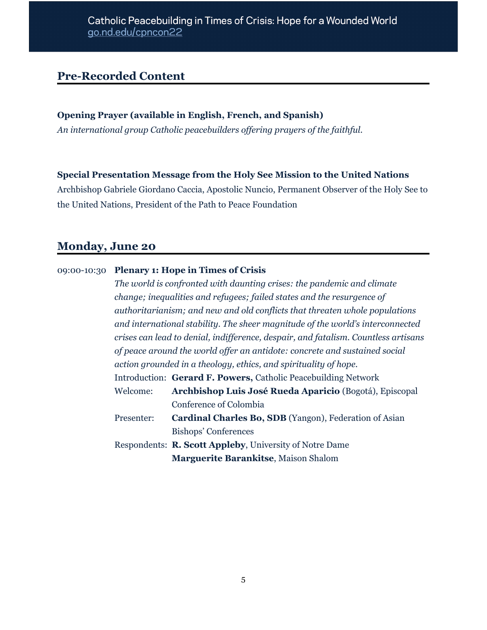# **Pre-Recorded Content**

#### **Opening Prayer (available in English, French, and Spanish)**

*An international group Catholic peacebuilders of ering prayers of the faithful.*

#### **Special Presentation Message from the Holy See Mission to the United Nations**

Archbishop Gabriele Giordano Caccia, Apostolic Nuncio, Permanent Observer of the Holy See to the United Nations, President of the Path to Peace Foundation

## **Monday, June 20**

#### 09:00-10:30 **Plenary 1: Hope in Times of Crisis**

*The world is confronted with daunting crises: the pandemic and climate change; inequalities and refugees; failed states and the resurgence of authoritarianism; and new and old conflicts that threaten whole populations and international stability. The sheer magnitude of the world's interconnected crises can lead to denial, indif erence, despair, and fatalism. Countless artisans of peace around the world of er an antidote: concrete and sustained social action grounded in a theology, ethics, and spirituality of hope.* Introduction: **Gerard F. Powers,** Catholic Peacebuilding Network Welcome: **Archbishop Luis José Rueda Aparicio** (Bogotá), Episcopal Conference of Colombia Presenter: **Cardinal Charles Bo, SDB** (Yangon), Federation of Asian Bishops' Conferences Respondents: **R. Scott Appleby**, University of Notre Dame **Marguerite Barankitse**, Maison Shalom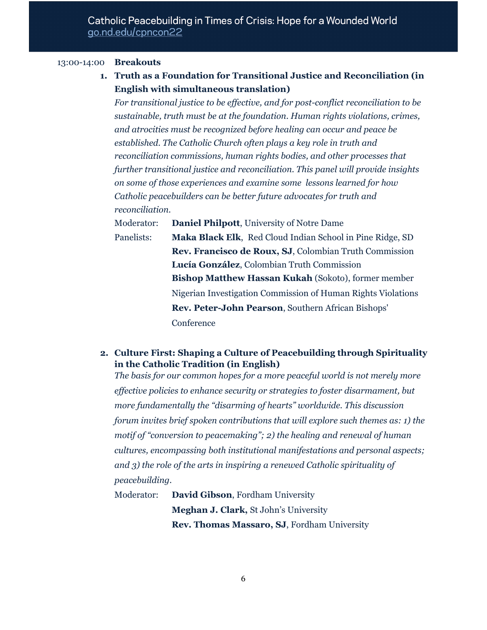#### 13:00-14:00 **Breakouts**

**1. Truth as a Foundation for Transitional Justice and Reconciliation (in English with simultaneous translation)**

*For transitional justice to be ef ective, and for post-conflict reconciliation to be sustainable, truth must be at the foundation. Human rights violations, crimes, and atrocities must be recognized before healing can occur and peace be established. The Catholic Church often plays a key role in truth and reconciliation commissions, human rights bodies, and other processes that further transitional justice and reconciliation. This panel will provide insights on some of those experiences and examine some lessons learned for how Catholic peacebuilders can be better future advocates for truth and reconciliation.*

Moderator: **Daniel Philpott**, University of Notre Dame Panelists: **Maka Black Elk**, Red Cloud Indian School in Pine Ridge, SD **Rev. Francisco de Roux, SJ**, Colombian Truth Commission **Lucía González**, Colombian Truth Commission **Bishop Matthew Hassan Kukah** (Sokoto), former member Nigerian Investigation Commission of Human Rights Violations **Rev. Peter-John Pearson**, Southern African Bishops' **Conference** 

### **2. Culture First: Shaping a Culture of Peacebuilding through Spirituality in the Catholic Tradition (in English)**

*The basis for our common hopes for a more peaceful world is not merely more ef ective policies to enhance security or strategies to foster disarmament, but more fundamentally the "disarming of hearts" worldwide. This discussion forum invites brief spoken contributions that will explore such themes as: 1) the motif of "conversion to peacemaking"; 2) the healing and renewal of human cultures, encompassing both institutional manifestations and personal aspects; and 3) the role of the arts in inspiring a renewed Catholic spirituality of peacebuilding.*

Moderator: **David Gibson**, Fordham University **Meghan J. Clark,** St John's University **Rev. Thomas Massaro, SJ**, Fordham University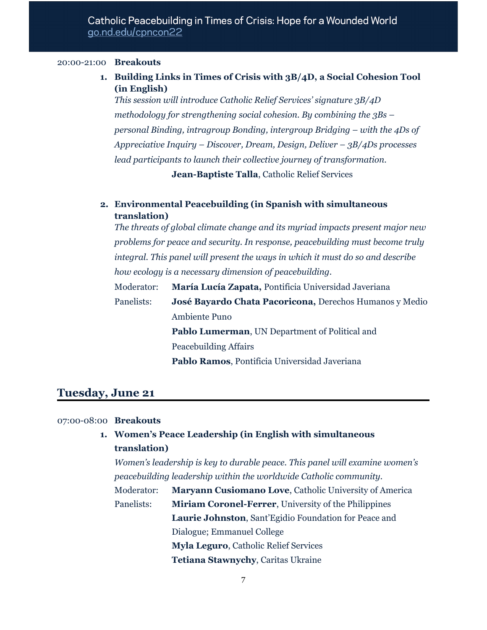#### 20:00-21:00 **Breakouts**

**1. Building Links in Times of Crisis with 3B/4D, a Social Cohesion Tool (in English)**

*This session will introduce Catholic Relief Services' signature 3B/4D methodology for strengthening social cohesion. By combining the 3Bs – personal Binding, intragroup Bonding, intergroup Bridging – with the 4Ds of Appreciative Inquiry – Discover, Dream, Design, Deliver – 3B/4Ds processes lead participants to launch their collective journey of transformation.*

**Jean-Baptiste Talla**, Catholic Relief Services

### **2. Environmental Peacebuilding (in Spanish with simultaneous translation)**

*The threats of global climate change and its myriad impacts present major new problems for peace and security. In response, peacebuilding must become truly integral. This panel will present the ways in which it must do so and describe how ecology is a necessary dimension of peacebuilding.*

Moderator: **María Lucía Zapata,** Pontificia Universidad Javeriana Panelists: **José Bayardo Chata Pacoricona,** Derechos Humanos y Medio Ambiente Puno

> **Pablo Lumerman**, UN Department of Political and Peacebuilding Affairs

**Pablo Ramos**, Pontificia Universidad Javeriana

# **Tuesday, June 21**

### 07:00-08:00 **Breakouts**

**1. Women's Peace Leadership (in English with simultaneous translation)**

*Women's leadership is key to durable peace. This panel will examine women's peacebuilding leadership within the worldwide Catholic community.*

Moderator: **Maryann Cusiomano Love**, Catholic University of America Panelists: **Miriam Coronel-Ferrer**, University of the Philippines **Laurie Johnston**, Sant'Egidio Foundation for Peace and Dialogue; Emmanuel College **Myla Leguro**, Catholic Relief Services

**Tetiana Stawnychy**, Caritas Ukraine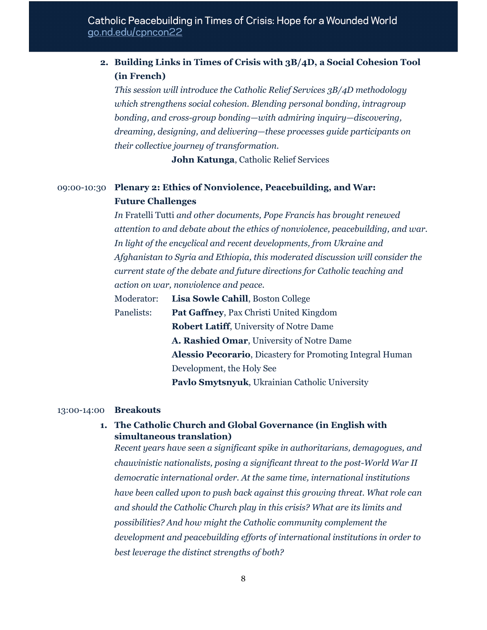## **2. Building Links in Times of Crisis with 3B/4D, a Social Cohesion Tool (in French)**

*This session will introduce the Catholic Relief Services 3B/4D methodology which strengthens social cohesion. Blending personal bonding, intragroup bonding, and cross-group bonding—with admiring inquiry—discovering, dreaming, designing, and delivering—these processes guide participants on their collective journey of transformation.*

**John Katunga**, Catholic Relief Services

## 09:00-10:30 **Plenary 2: Ethics of Nonviolence, Peacebuilding, and War: Future Challenges**

*In* Fratelli Tutti *and other documents, Pope Francis has brought renewed attention to and debate about the ethics of nonviolence, peacebuilding, and war. In light of the encyclical and recent developments, from Ukraine and Afghanistan to Syria and Ethiopia, this moderated discussion will consider the current state of the debate and future directions for Catholic teaching and action on war, nonviolence and peace.*

| Moderator: | Lisa Sowle Cahill, Boston College                                |  |  |  |  |
|------------|------------------------------------------------------------------|--|--|--|--|
| Panelists: | <b>Pat Gaffney, Pax Christi United Kingdom</b>                   |  |  |  |  |
|            | <b>Robert Latiff, University of Notre Dame</b>                   |  |  |  |  |
|            | A. Rashied Omar, University of Notre Dame                        |  |  |  |  |
|            | <b>Alessio Pecorario, Dicastery for Promoting Integral Human</b> |  |  |  |  |
|            | Development, the Holy See                                        |  |  |  |  |
|            | Pavlo Smytsnyuk, Ukrainian Catholic University                   |  |  |  |  |

#### 13:00-14:00 **Breakouts**

### **1. The Catholic Church and Global Governance (in English with simultaneous translation)**

*Recent years have seen a significant spike in authoritarians, demagogues, and chauvinistic nationalists, posing a significant threat to the post-World War II democratic international order. At the same time, international institutions have been called upon to push back against this growing threat. What role can and should the Catholic Church play in this crisis? What are its limits and possibilities? And how might the Catholic community complement the development and peacebuilding ef orts of international institutions in order to best leverage the distinct strengths of both?*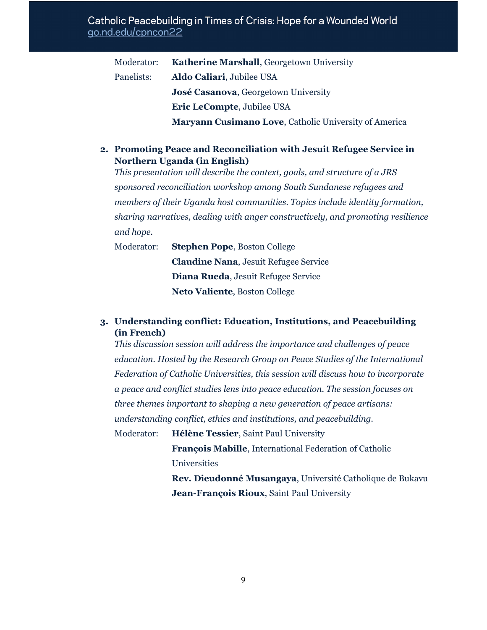### Catholic Peacebuilding in Times of Crisis: Hope for a Wounded World go.nd.edu/cpncon22

| Moderator: | Katherine Marshall, Georgetown University             |
|------------|-------------------------------------------------------|
| Panelists: | Aldo Caliari, Jubilee USA                             |
|            | José Casanova, Georgetown University                  |
|            | Eric LeCompte, Jubilee USA                            |
|            | Maryann Cusimano Love, Catholic University of America |

**2. Promoting Peace and Reconciliation with Jesuit Refugee Service in Northern Uganda (in English)**

*This presentation will describe the context, goals, and structure of a JRS sponsored reconciliation workshop among South Sundanese refugees and members of their Uganda host communities. Topics include identity formation, sharing narratives, dealing with anger constructively, and promoting resilience and hope.*

Moderator: **Stephen Pope**, Boston College **Claudine Nana**, Jesuit Refugee Service **Diana Rueda**, Jesuit Refugee Service **Neto Valiente**, Boston College

### **3. Understanding conflict: Education, Institutions, and Peacebuilding (in French)**

*This discussion session will address the importance and challenges of peace education. Hosted by the Research Group on Peace Studies of the International Federation of Catholic Universities, this session will discuss how to incorporate a peace and conflict studies lens into peace education. The session focuses on three themes important to shaping a new generation of peace artisans: understanding conflict, ethics and institutions, and peacebuilding.*

Moderator: **Hélène Tessier**, Saint Paul University **François Mabille**, International Federation of Catholic Universities

> **Rev. Dieudonné Musangaya**, Université Catholique de Bukavu **Jean-François Rioux**, Saint Paul University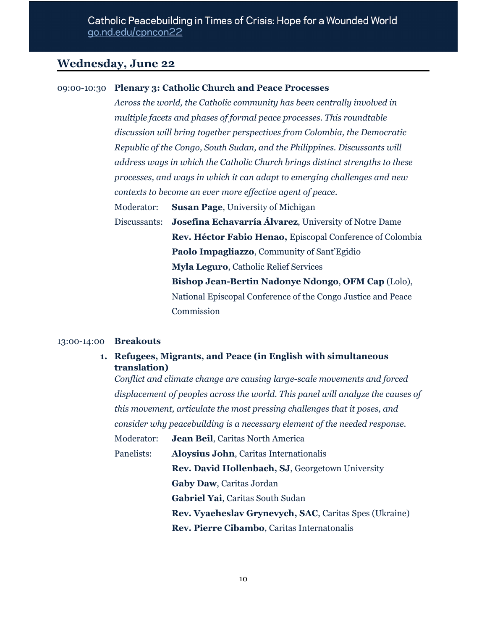## **Wednesday, June 22**

#### 09:00-10:30 **Plenary 3: Catholic Church and Peace Processes**

*Across the world, the Catholic community has been centrally involved in multiple facets and phases of formal peace processes. This roundtable discussion will bring together perspectives from Colombia, the Democratic Republic of the Congo, South Sudan, and the Philippines. Discussants will address ways in which the Catholic Church brings distinct strengths to these processes, and ways in which it can adapt to emerging challenges and new contexts to become an ever more ef ective agent of peace.*

Moderator: **Susan Page**, University of Michigan

Discussants: **Josefina Echavarría Álvarez**, University of Notre Dame **Rev. Héctor Fabio Henao,** Episcopal Conference of Colombia **Paolo Impagliazzo**, Community of Sant'Egidio **Myla Leguro**, Catholic Relief Services **Bishop Jean-Bertin Nadonye Ndongo**, **OFM Cap** (Lolo), National Episcopal Conference of the Congo Justice and Peace Commission

#### 13:00-14:00 **Breakouts**

**1. Refugees, Migrants, and Peace (in English with simultaneous translation)**

*Conflict and climate change are causing large-scale movements and forced displacement of peoples across the world. This panel will analyze the causes of this movement, articulate the most pressing challenges that it poses, and consider why peacebuilding is a necessary element of the needed response.*

Moderator: **Jean Beil**, Caritas North America Panelists: **Aloysius John**, Caritas Internationalis **Rev. David Hollenbach, SJ**, Georgetown University **Gaby Daw**, Caritas Jordan **Gabriel Yai**, Caritas South Sudan **Rev. Vyaeheslav Grynevych, SAC**, Caritas Spes (Ukraine) **Rev. Pierre Cibambo**, Caritas Internatonalis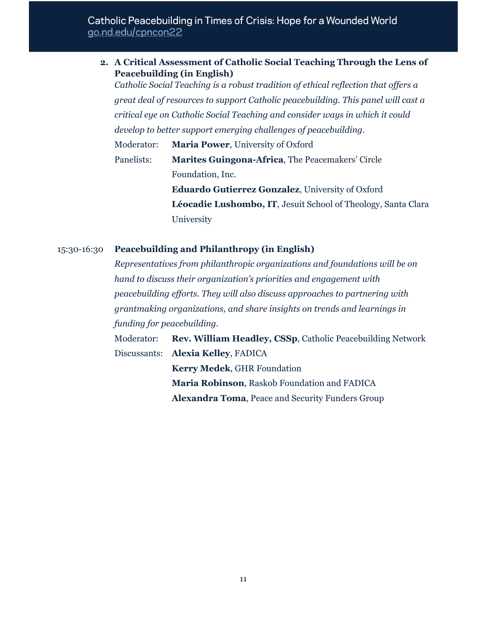### Catholic Peacebuilding in Times of Crisis: Hope for a Wounded World go.nd.edu/cpncon22

| 2. A Critical Assessment of Catholic Social Teaching Through the Lens of |                                                                                                                                                 |                                                                                    |  |  |  |  |  |
|--------------------------------------------------------------------------|-------------------------------------------------------------------------------------------------------------------------------------------------|------------------------------------------------------------------------------------|--|--|--|--|--|
|                                                                          |                                                                                                                                                 | <b>Peacebuilding (in English)</b>                                                  |  |  |  |  |  |
|                                                                          |                                                                                                                                                 | Catholic Social Teaching is a robust tradition of ethical reflection that offers a |  |  |  |  |  |
|                                                                          | great deal of resources to support Catholic peacebuilding. This panel will cast a                                                               |                                                                                    |  |  |  |  |  |
|                                                                          | critical eye on Catholic Social Teaching and consider ways in which it could<br>develop to better support emerging challenges of peacebuilding. |                                                                                    |  |  |  |  |  |
|                                                                          |                                                                                                                                                 |                                                                                    |  |  |  |  |  |
|                                                                          | Moderator:                                                                                                                                      | <b>Maria Power, University of Oxford</b>                                           |  |  |  |  |  |
|                                                                          | Panelists:                                                                                                                                      | <b>Marites Guingona-Africa, The Peacemakers' Circle</b>                            |  |  |  |  |  |
|                                                                          |                                                                                                                                                 | Foundation, Inc.                                                                   |  |  |  |  |  |
|                                                                          |                                                                                                                                                 | <b>Eduardo Gutierrez Gonzalez</b> , University of Oxford                           |  |  |  |  |  |
|                                                                          |                                                                                                                                                 | Léocadie Lushombo, IT, Jesuit School of Theology, Santa Clara                      |  |  |  |  |  |
|                                                                          |                                                                                                                                                 | University                                                                         |  |  |  |  |  |

15:30-16:30 **Peacebuilding and Philanthropy (in English)**

*Representatives from philanthropic organizations and foundations will be on hand to discuss their organization's priorities and engagement with peacebuilding ef orts. They will also discuss approaches to partnering with grantmaking organizations, and share insights on trends and learnings in funding for peacebuilding.*

Moderator: **Rev. William Headley, CSSp**, Catholic Peacebuilding Network Discussants: **Alexia Kelley**, FADICA **Kerry Medek**, GHR Foundation **Maria Robinson**, Raskob Foundation and FADICA **Alexandra Toma**, Peace and Security Funders Group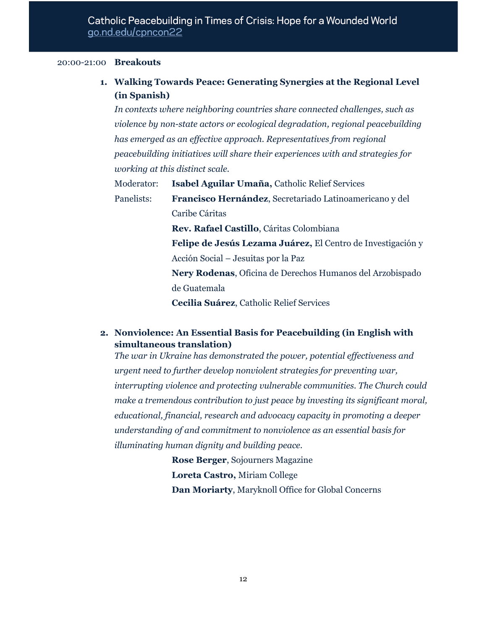#### 20:00-21:00 **Breakouts**

## **1. Walking Towards Peace: Generating Synergies at the Regional Level (in Spanish)**

*In contexts where neighboring countries share connected challenges, such as violence by non-state actors or ecological degradation, regional peacebuilding has emerged as an ef ective approach. Representatives from regional peacebuilding initiatives will share their experiences with and strategies for working at this distinct scale.*

Moderator: **Isabel Aguilar Umaña,** Catholic Relief Services

Panelists: **Francisco Hernández**, Secretariado Latinoamericano y del Caribe Cáritas

**Rev. Rafael Castillo**, Cáritas Colombiana

**Felipe de Jesús Lezama Juárez,** El Centro de Investigación y Acción Social – Jesuitas por la Paz

**Nery Rodenas**, Oficina de Derechos Humanos del Arzobispado de Guatemala

**Cecilia Suárez**, Catholic Relief Services

### **2. Nonviolence: An Essential Basis for Peacebuilding (in English with simultaneous translation)**

*The war in Ukraine has demonstrated the power, potential ef ectiveness and urgent need to further develop nonviolent strategies for preventing war, interrupting violence and protecting vulnerable communities. The Church could make a tremendous contribution to just peace by investing its significant moral, educational, financial, research and advocacy capacity in promoting a deeper understanding of and commitment to nonviolence as an essential basis for illuminating human dignity and building peace.*

> **Rose Berger**, Sojourners Magazine **Loreta Castro,** Miriam College **Dan Moriarty**, Maryknoll Office for Global Concerns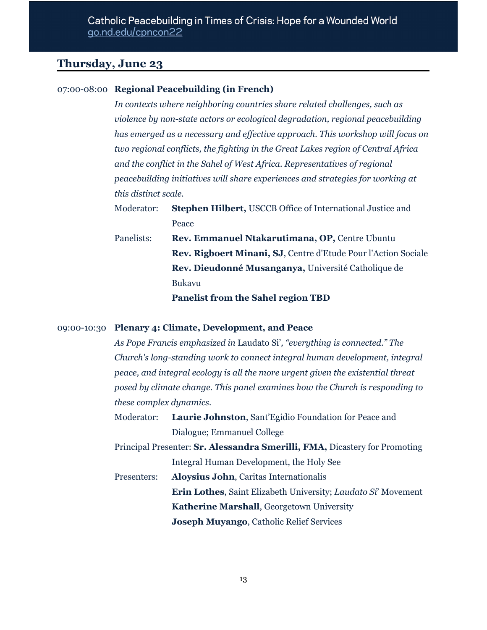## **Thursday, June 23**

### 07:00-08:00 **Regional Peacebuilding (in French)**

*In contexts where neighboring countries share related challenges, such as violence by non-state actors or ecological degradation, regional peacebuilding has emerged as a necessary and ef ective approach. This workshop will focus on two regional conflicts, the fighting in the Great Lakes region of Central Africa and the conflict in the Sahel of West Africa. Representatives of regional peacebuilding initiatives will share experiences and strategies for working at this distinct scale.*

Moderator: **Stephen Hilbert,** USCCB Office of International Justice and Peace

Panelists: **Rev. Emmanuel Ntakarutimana, OP,** Centre Ubuntu **Rev. Rigboert Minani, SJ**, Centre d'Etude Pour l'Action Sociale **Rev. Dieudonné Musanganya,** Université Catholique de Bukavu

**Panelist from the Sahel region TBD**

#### 09:00-10:30 **Plenary 4: Climate, Development, and Peace**

*As Pope Francis emphasized in* Laudato Si'*, "everything is connected." The Church's long-standing work to connect integral human development, integral peace, and integral ecology is all the more urgent given the existential threat posed by climate change. This panel examines how the Church is responding to these complex dynamics.*

- Moderator: **Laurie Johnston**, Sant'Egidio Foundation for Peace and Dialogue; Emmanuel College
- Principal Presenter: **Sr. Alessandra Smerilli, FMA,** Dicastery for Promoting Integral Human Development, the Holy See
- Presenters: **Aloysius John**, Caritas Internationalis **Erin Lothes**, Saint Elizabeth University; *Laudato Si*' Movement **Katherine Marshall**, Georgetown University **Joseph Muyango**, Catholic Relief Services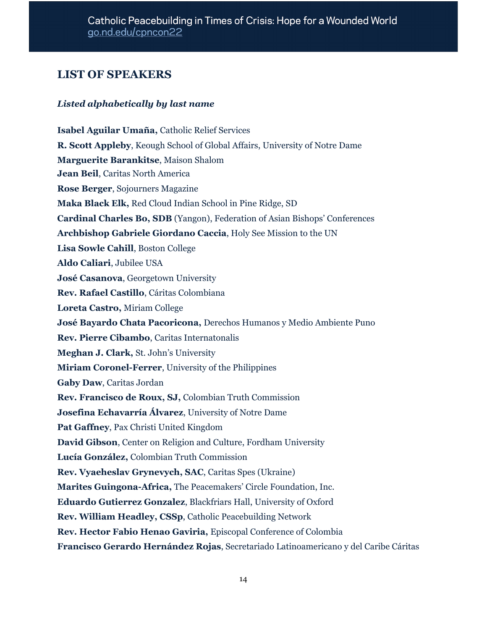## **LIST OF SPEAKERS**

### *Listed alphabetically by last name*

**Isabel Aguilar Umaña,** Catholic Relief Services **R. Scott Appleby**, Keough School of Global Affairs, University of Notre Dame **Marguerite Barankitse**, Maison Shalom **Jean Beil**, Caritas North America **Rose Berger**, Sojourners Magazine **Maka Black Elk,** Red Cloud Indian School in Pine Ridge, SD **Cardinal Charles Bo, SDB** (Yangon), Federation of Asian Bishops' Conferences **Archbishop Gabriele Giordano Caccia**, Holy See Mission to the UN **Lisa Sowle Cahill**, Boston College **Aldo Caliari**, Jubilee USA **José Casanova**, Georgetown University **Rev. Rafael Castillo**, Cáritas Colombiana **Loreta Castro,** Miriam College **José Bayardo Chata Pacoricona,** Derechos Humanos y Medio Ambiente Puno **Rev. Pierre Cibambo**, Caritas Internatonalis **Meghan J. Clark,** St. John's University **Miriam Coronel-Ferrer**, University of the Philippines **Gaby Daw**, Caritas Jordan **Rev. Francisco de Roux, SJ,** Colombian Truth Commission **Josefina Echavarría Álvarez**, University of Notre Dame **Pat Gaffney**, Pax Christi United Kingdom **David Gibson**, Center on Religion and Culture, Fordham University **Lucía González,** Colombian Truth Commission **Rev. Vyaeheslav Grynevych, SAC**, Caritas Spes (Ukraine) **Marites Guingona-Africa,** The Peacemakers' Circle Foundation, Inc. **Eduardo Gutierrez Gonzalez**, Blackfriars Hall, University of Oxford **Rev. William Headley, CSSp**, Catholic Peacebuilding Network **Rev. Hector Fabio Henao Gaviria,** Episcopal Conference of Colombia **Francisco Gerardo Hernández Rojas**, Secretariado Latinoamericano y del Caribe Cáritas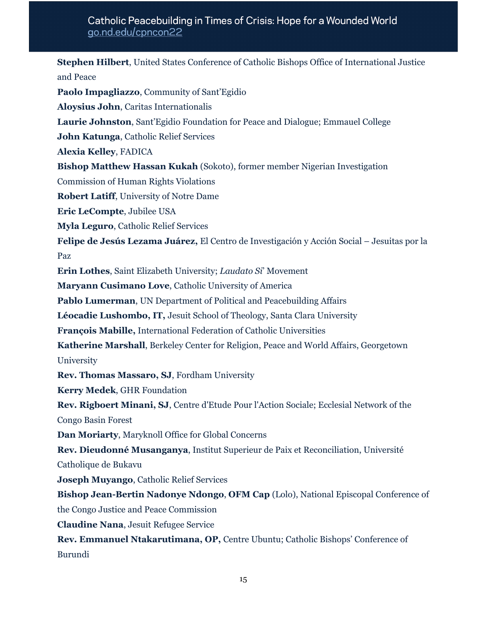**Stephen Hilbert**, United States Conference of Catholic Bishops Office of International Justice and Peace **Paolo Impagliazzo**, Community of Sant'Egidio **Aloysius John**, Caritas Internationalis **Laurie Johnston**, Sant'Egidio Foundation for Peace and Dialogue; Emmauel College **John Katunga**, Catholic Relief Services **Alexia Kelley**, FADICA **Bishop Matthew Hassan Kukah** (Sokoto), former member Nigerian Investigation Commission of Human Rights Violations **Robert Latiff**, University of Notre Dame **Eric LeCompte**, Jubilee USA **Myla Leguro**, Catholic Relief Services **Felipe de Jesús Lezama Juárez,** El Centro de Investigación y Acción Social – Jesuitas por la Paz **Erin Lothes**, Saint Elizabeth University; *Laudato Si*' Movement **Maryann Cusimano Love**, Catholic University of America **Pablo Lumerman**, UN Department of Political and Peacebuilding Affairs **Léocadie Lushombo, IT,** Jesuit School of Theology, Santa Clara University **François Mabille,** International Federation of Catholic Universities **Katherine Marshall**, Berkeley Center for Religion, Peace and World Affairs, Georgetown University **Rev. Thomas Massaro, SJ**, Fordham University **Kerry Medek**, GHR Foundation **Rev. Rigboert Minani, SJ**, Centre d'Etude Pour l'Action Sociale; Ecclesial Network of the Congo Basin Forest **Dan Moriarty**, Maryknoll Office for Global Concerns **Rev. Dieudonné Musanganya**, Institut Superieur de Paix et Reconciliation, Université Catholique de Bukavu **Joseph Muyango**, Catholic Relief Services **Bishop Jean-Bertin Nadonye Ndongo**, **OFM Cap** (Lolo), National Episcopal Conference of the Congo Justice and Peace Commission **Claudine Nana**, Jesuit Refugee Service **Rev. Emmanuel Ntakarutimana, OP,** Centre Ubuntu; Catholic Bishops' Conference of Burundi